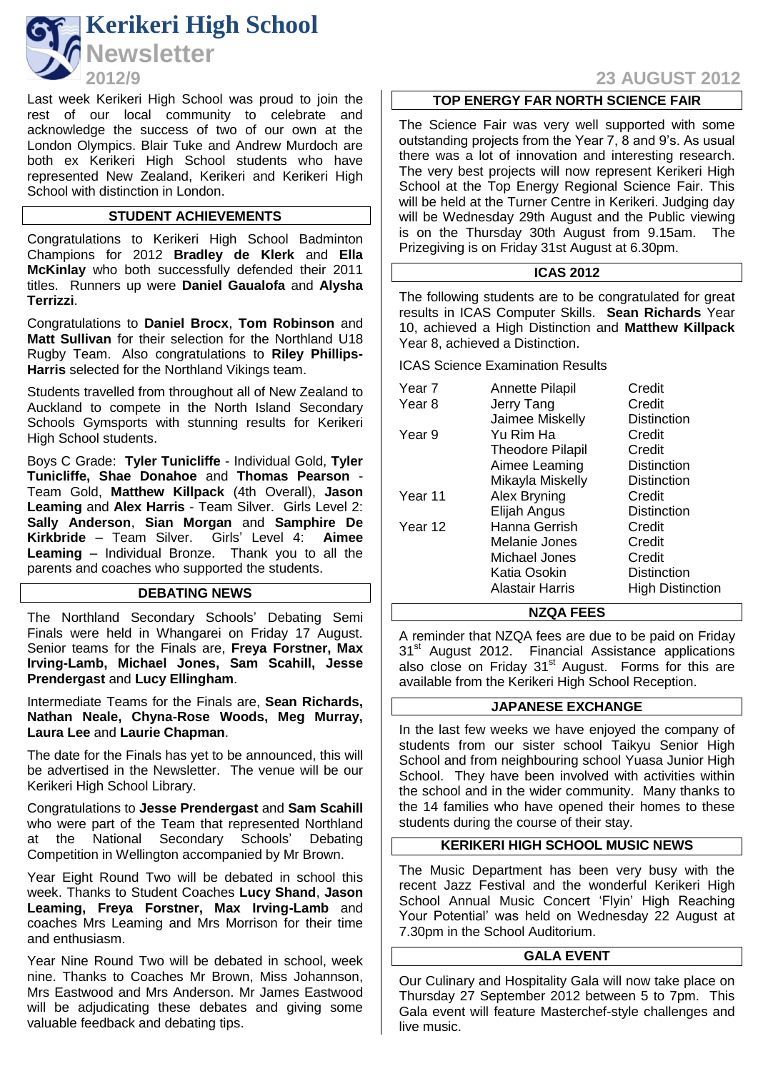

Last week Kerikeri High School was proud to join the rest of our local community to celebrate and acknowledge the success of two of our own at the London Olympics. Blair Tuke and Andrew Murdoch are both ex Kerikeri High School students who have represented New Zealand, Kerikeri and Kerikeri High School with distinction in London.

### **STUDENT ACHIEVEMENTS**

Congratulations to Kerikeri High School Badminton Champions for 2012 **Bradley de Klerk** and **Ella McKinlay** who both successfully defended their 2011 titles. Runners up were **Daniel Gaualofa** and **Alysha Terrizzi**.

Congratulations to **Daniel Brocx**, **Tom Robinson** and **Matt Sullivan** for their selection for the Northland U18 Rugby Team. Also congratulations to **Riley Phillips-Harris** selected for the Northland Vikings team.

Students travelled from throughout all of New Zealand to Auckland to compete in the North Island Secondary Schools Gymsports with stunning results for Kerikeri High School students.

Boys C Grade: **Tyler Tunicliffe** - Individual Gold, **Tyler Tunicliffe, Shae Donahoe** and **Thomas Pearson** - Team Gold, **Matthew Killpack** (4th Overall), **Jason Leaming** and **Alex Harris** - Team Silver. Girls Level 2: **Sally Anderson**, **Sian Morgan** and **Samphire De Kirkbride** – Team Silver. Girls' Level 4: **Aimee Leaming** – Individual Bronze. Thank you to all the parents and coaches who supported the students.

### **DEBATING NEWS**

The Northland Secondary Schools' Debating Semi Finals were held in Whangarei on Friday 17 August. Senior teams for the Finals are, **Freya Forstner, Max Irving-Lamb, Michael Jones, Sam Scahill, Jesse Prendergast** and **Lucy Ellingham**.

Intermediate Teams for the Finals are, **Sean Richards, Nathan Neale, Chyna-Rose Woods, Meg Murray, Laura Lee** and **Laurie Chapman**.

The date for the Finals has yet to be announced, this will be advertised in the Newsletter. The venue will be our Kerikeri High School Library.

Congratulations to **Jesse Prendergast** and **Sam Scahill** who were part of the Team that represented Northland at the National Secondary Schools' Debating Competition in Wellington accompanied by Mr Brown.

Year Eight Round Two will be debated in school this week. Thanks to Student Coaches **Lucy Shand**, **Jason Leaming, Freya Forstner, Max Irving-Lamb** and coaches Mrs Leaming and Mrs Morrison for their time and enthusiasm.

Year Nine Round Two will be debated in school, week nine. Thanks to Coaches Mr Brown, Miss Johannson, Mrs Eastwood and Mrs Anderson. Mr James Eastwood will be adjudicating these debates and giving some valuable feedback and debating tips.

# **2012/9 23 AUGUST 2012**

#### **TOP ENERGY FAR NORTH SCIENCE FAIR**

The Science Fair was very well supported with some outstanding projects from the Year 7, 8 and 9's. As usual there was a lot of innovation and interesting research. The very best projects will now represent Kerikeri High School at the Top Energy Regional Science Fair. This will be held at the Turner Centre in Kerikeri. Judging day will be Wednesday 29th August and the Public viewing is on the Thursday 30th August from 9.15am. The Prizegiving is on Friday 31st August at 6.30pm.

### **ICAS 2012**

The following students are to be congratulated for great results in ICAS Computer Skills. **Sean Richards** Year 10, achieved a High Distinction and **Matthew Killpack**  Year 8, achieved a Distinction.

ICAS Science Examination Results

| Year <sub>7</sub> | <b>Annette Pilapil</b>  | Credit                  |
|-------------------|-------------------------|-------------------------|
| Year 8            | Jerry Tang              | Credit                  |
|                   | Jaimee Miskelly         | Distinction             |
| Year 9            | Yu Rim Ha               | Credit                  |
|                   | <b>Theodore Pilapil</b> | Credit                  |
|                   | Aimee Leaming           | Distinction             |
|                   | Mikayla Miskelly        | Distinction             |
| Year 11           | Alex Bryning            | Credit                  |
|                   | Elijah Angus            | Distinction             |
| Year 12           | Hanna Gerrish           | Credit                  |
|                   | Melanie Jones           | Credit                  |
|                   | Michael Jones           | Credit                  |
|                   | Katia Osokin            | <b>Distinction</b>      |
|                   | Alastair Harris         | <b>High Distinction</b> |

#### **NZQA FEES**

A reminder that NZQA fees are due to be paid on Friday 31<sup>st</sup> August 2012. Financial Assistance applications also close on Friday  $31<sup>st</sup>$  August. Forms for this are available from the Kerikeri High School Reception.

### **JAPANESE EXCHANGE**

In the last few weeks we have enjoyed the company of students from our sister school Taikyu Senior High School and from neighbouring school Yuasa Junior High School. They have been involved with activities within the school and in the wider community. Many thanks to the 14 families who have opened their homes to these students during the course of their stay.

#### **KERIKERI HIGH SCHOOL MUSIC NEWS**

The Music Department has been very busy with the recent Jazz Festival and the wonderful Kerikeri High School Annual Music Concert 'Flyin' High Reaching Your Potential' was held on Wednesday 22 August at 7.30pm in the School Auditorium.

#### **GALA EVENT**

Our Culinary and Hospitality Gala will now take place on Thursday 27 September 2012 between 5 to 7pm. This Gala event will feature Masterchef-style challenges and live music.